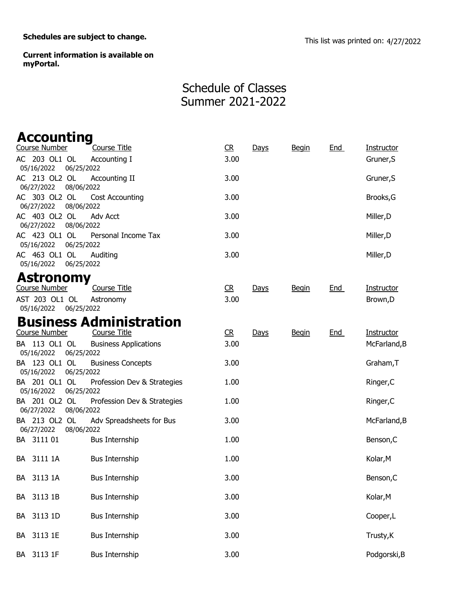Schedules are subject to change.<br>
This list was printed on: 4/27/2022

Current information is available on myPortal.

## Schedule of Classes Summer 2021-2022

| <b>Accounting</b>            |                                            |      |      |              |            |              |
|------------------------------|--------------------------------------------|------|------|--------------|------------|--------------|
| <b>Course Number</b>         | <b>Course Title</b>                        | R    | Days | <b>Begin</b> | <b>End</b> | Instructor   |
| AC 203 OL1 OL<br>05/16/2022  | Accounting I<br>06/25/2022                 | 3.00 |      |              |            | Gruner, S    |
| AC 213 OL2 OL<br>06/27/2022  | Accounting II<br>08/06/2022                | 3.00 |      |              |            | Gruner, S    |
| AC 303 OL2 OL<br>06/27/2022  | Cost Accounting<br>08/06/2022              | 3.00 |      |              |            | Brooks, G    |
| AC 403 OL2 OL<br>06/27/2022  | <b>Adv Acct</b><br>08/06/2022              | 3.00 |      |              |            | Miller, D    |
| AC 423 OL1 OL<br>05/16/2022  | Personal Income Tax<br>06/25/2022          | 3.00 |      |              |            | Miller, D    |
| AC 463 OL1 OL<br>05/16/2022  | Auditing<br>06/25/2022                     | 3.00 |      |              |            | Miller, D    |
| Astronomy                    |                                            |      |      |              |            |              |
| Course Number                | Course Title                               | CR   | Days | <b>Begin</b> | End        | Instructor   |
| AST 203 OL1 OL<br>05/16/2022 | Astronomy<br>06/25/2022                    | 3.00 |      |              |            | Brown, D     |
|                              | <b>Business Administration</b>             |      |      |              |            |              |
| <b>Course Number</b>         | <b>Course Title</b>                        | CR   | Days | <b>Begin</b> | End        | Instructor   |
| BA 113 OL1 OL<br>05/16/2022  | <b>Business Applications</b><br>06/25/2022 | 3.00 |      |              |            | McFarland, B |
| BA 123 OL1 OL<br>05/16/2022  | <b>Business Concepts</b><br>06/25/2022     | 3.00 |      |              |            | Graham, T    |
| BA 201 OL1 OL<br>05/16/2022  | Profession Dev & Strategies<br>06/25/2022  | 1.00 |      |              |            | Ringer, C    |
| BA 201 OL2 OL<br>06/27/2022  | Profession Dev & Strategies<br>08/06/2022  | 1.00 |      |              |            | Ringer, C    |
| BA 213 OL2 OL<br>06/27/2022  | Adv Spreadsheets for Bus<br>08/06/2022     | 3.00 |      |              |            | McFarland, B |
| BA 3111 01                   | <b>Bus Internship</b>                      | 1.00 |      |              |            | Benson, C    |
| BA 3111 1A                   | <b>Bus Internship</b>                      | 1.00 |      |              |            | Kolar, M     |
| 3113 1A<br>BA                | <b>Bus Internship</b>                      | 3.00 |      |              |            | Benson, C    |
| 3113 1B<br>BA                | <b>Bus Internship</b>                      | 3.00 |      |              |            | Kolar, M     |
| 3113 1D<br>BA                | <b>Bus Internship</b>                      | 3.00 |      |              |            | Cooper,L     |
| 3113 1E<br>BA                | <b>Bus Internship</b>                      | 3.00 |      |              |            | Trusty, K    |
| 3113 1F<br>BA                | <b>Bus Internship</b>                      | 3.00 |      |              |            | Podgorski, B |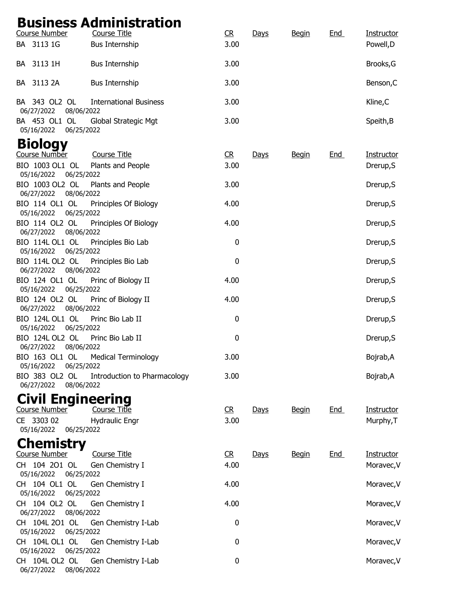## Business Administration

| <b>Course Number</b>                        | Course Title                       | C <sub>R</sub> | Days        | <b>Begin</b> | End        | <b>Instructor</b> |
|---------------------------------------------|------------------------------------|----------------|-------------|--------------|------------|-------------------|
| BA 3113 1G                                  | <b>Bus Internship</b>              | 3.00           |             |              |            | Powell, D         |
| BA 3113 1H                                  | <b>Bus Internship</b>              | 3.00           |             |              |            | Brooks, G         |
| BA 3113 2A                                  | <b>Bus Internship</b>              | 3.00           |             |              |            | Benson, C         |
| BA 343 OL2 OL<br>06/27/2022<br>08/06/2022   | <b>International Business</b>      | 3.00           |             |              |            | Kline, C          |
| BA 453 OL1 OL<br>06/25/2022<br>05/16/2022   | Global Strategic Mgt               | 3.00           |             |              |            | Speith, B         |
| <b>Biology</b>                              |                                    |                |             |              |            |                   |
| Course Number                               | Course Title                       | R              | <b>Days</b> | <b>Begin</b> | <b>End</b> | Instructor        |
| BIO 1003 OL1 OL<br>05/16/2022<br>06/25/2022 | Plants and People                  | 3.00           |             |              |            | Drerup, S         |
| BIO 1003 OL2 OL<br>08/06/2022<br>06/27/2022 | Plants and People                  | 3.00           |             |              |            | Drerup, S         |
| BIO 114 OL1 OL<br>05/16/2022 06/25/2022     | Principles Of Biology              | 4.00           |             |              |            | Drerup, S         |
| BIO 114 OL2 OL<br>06/27/2022<br>08/06/2022  | Principles Of Biology              | 4.00           |             |              |            | Drerup, S         |
| BIO 114L OL1 OL<br>06/25/2022<br>05/16/2022 | Principles Bio Lab                 | $\pmb{0}$      |             |              |            | Drerup, S         |
| BIO 114L OL2 OL<br>06/27/2022 08/06/2022    | Principles Bio Lab                 | $\pmb{0}$      |             |              |            | Drerup, S         |
| BIO 124 OL1 OL<br>05/16/2022 06/25/2022     | Princ of Biology II                | 4.00           |             |              |            | Drerup, S         |
| BIO 124 OL2 OL<br>06/27/2022<br>08/06/2022  | Princ of Biology II                | 4.00           |             |              |            | Drerup, S         |
| BIO 124L OL1 OL<br>05/16/2022<br>06/25/2022 | Princ Bio Lab II                   | $\mathbf 0$    |             |              |            | Drerup, S         |
| BIO 124L OL2 OL<br>08/06/2022<br>06/27/2022 | Princ Bio Lab II                   | $\mathbf 0$    |             |              |            | Drerup, S         |
| 05/16/2022 06/25/2022                       | BIO 163 OL1 OL Medical Terminology | 3.00           |             |              |            | Bojrab, A         |
| BIO 383 OL2 OL<br>06/27/2022<br>08/06/2022  | Introduction to Pharmacology       | 3.00           |             |              |            | Bojrab, A         |
| <b>Civil Engineering</b>                    |                                    |                |             |              |            |                   |
| Course Number                               | Course Title                       | R              | <b>Days</b> | <b>Begin</b> | <u>End</u> | Instructor        |
| CE 3303 02<br>05/16/2022 06/25/2022         | <b>Hydraulic Engr</b>              | 3.00           |             |              |            | Murphy, T         |
| <b>Chemistry</b>                            |                                    |                |             |              |            |                   |
| Course Number                               | <b>Course Title</b>                | R              | Days        | <b>Begin</b> | <b>End</b> | Instructor        |
| CH 104 201 OL<br>05/16/2022 06/25/2022      | Gen Chemistry I                    | 4.00           |             |              |            | Moravec, V        |
| CH 104 OL1 OL<br>05/16/2022<br>06/25/2022   | Gen Chemistry I                    | 4.00           |             |              |            | Moravec, V        |
| CH 104 OL2 OL<br>06/27/2022<br>08/06/2022   | Gen Chemistry I                    | 4.00           |             |              |            | Moravec, V        |
| CH 104L 201 OL<br>06/25/2022<br>05/16/2022  | Gen Chemistry I-Lab                | 0              |             |              |            | Moravec, V        |
| CH 104L OL1 OL<br>05/16/2022<br>06/25/2022  | Gen Chemistry I-Lab                | 0              |             |              |            | Moravec, V        |
| CH 104L OL2 OL<br>06/27/2022<br>08/06/2022  | Gen Chemistry I-Lab                | 0              |             |              |            | Moravec, V        |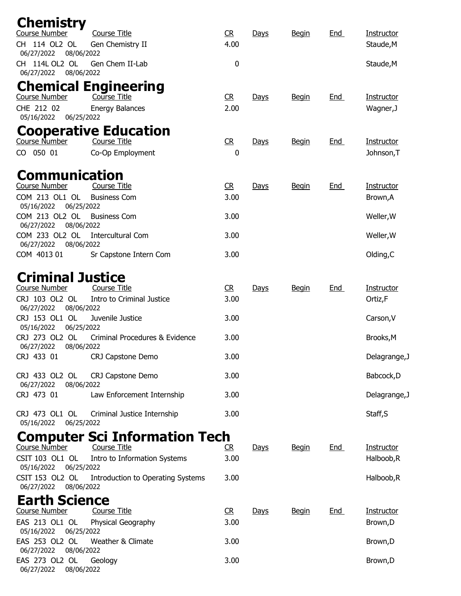| <b>Chemistry</b>                               |                                        |                |             |              |            |                   |
|------------------------------------------------|----------------------------------------|----------------|-------------|--------------|------------|-------------------|
| Course Number                                  | <b>Course Title</b>                    | CR             | Days        | <b>Begin</b> | End        | Instructor        |
| CH 114 OL2 OL<br>06/27/2022<br>08/06/2022      | Gen Chemistry II                       | 4.00           |             |              |            | Staude, M         |
| 114L OL2 OL<br>CH.<br>06/27/2022<br>08/06/2022 | Gen Chem II-Lab                        | 0              |             |              |            | Staude, M         |
|                                                | <b>Chemical Engineering</b>            |                |             |              |            |                   |
| <b>Course Number</b><br>CHE 212 02             | Course Title<br><b>Energy Balances</b> | CR<br>2.00     | Days        | <b>Begin</b> | <b>End</b> | <b>Instructor</b> |
| 05/16/2022 06/25/2022                          |                                        |                |             |              |            | Wagner, J         |
|                                                | <b>Cooperative Education</b>           |                |             |              |            |                   |
| Course Number                                  | <b>Course Title</b>                    | C <sub>R</sub> | Days        | <b>Begin</b> | <b>End</b> | Instructor        |
| CO 050 01                                      | Co-Op Employment                       | 0              |             |              |            | Johnson, T        |
| <b>Communication</b>                           |                                        |                |             |              |            |                   |
| Course Number                                  | <b>Course Title</b>                    | CR             | <b>Days</b> | <b>Begin</b> | End        | Instructor        |
| COM 213 OL1 OL<br>05/16/2022<br>06/25/2022     | <b>Business Com</b>                    | 3.00           |             |              |            | Brown, A          |
| COM 213 OL2 OL<br>06/27/2022<br>08/06/2022     | <b>Business Com</b>                    | 3.00           |             |              |            | Weller, W         |
| COM 233 OL2 OL<br>06/27/2022<br>08/06/2022     | <b>Intercultural Com</b>               | 3.00           |             |              |            | Weller, W         |
| COM 4013 01                                    | Sr Capstone Intern Com                 | 3.00           |             |              |            | Olding, C         |
| <b>Criminal Justice</b>                        |                                        |                |             |              |            |                   |
| Course Number                                  | Course Title                           | R              | Days        | <b>Begin</b> | <b>End</b> | Instructor        |
| CRJ 103 OL2 OL<br>06/27/2022<br>08/06/2022     | Intro to Criminal Justice              | 3.00           |             |              |            | Ortiz,F           |
| CRJ 153 OL1 OL<br>05/16/2022<br>06/25/2022     | Juvenile Justice                       | 3.00           |             |              |            | Carson, V         |
| CRJ 273 OL2 OL<br>08/06/2022<br>06/27/2022     | Criminal Procedures & Evidence         | 3.00           |             |              |            | Brooks, M         |
| CRJ 433 01                                     | CRJ Capstone Demo                      | 3.00           |             |              |            | Delagrange, J     |
| CRJ 433 OL2 OL<br>06/27/2022<br>08/06/2022     | CRJ Capstone Demo                      | 3.00           |             |              |            | Babcock, D        |
| CRJ 473 01                                     | Law Enforcement Internship             | 3.00           |             |              |            | Delagrange, J     |
| CRJ 473 OL1 OL<br>05/16/2022<br>06/25/2022     | Criminal Justice Internship            | 3.00           |             |              |            | Staff, S          |
|                                                | <b>Computer Sci Information Tech</b>   |                |             |              |            |                   |
| Course Number                                  | <b>Course Title</b>                    | R              | <b>Days</b> | <b>Begin</b> | <u>End</u> | Instructor        |
| CSIT 103 OL1 OL<br>05/16/2022 06/25/2022       | Intro to Information Systems           | 3.00           |             |              |            | Halboob, R        |
| CSIT 153 OL2 OL<br>06/27/2022<br>08/06/2022    | Introduction to Operating Systems      | 3.00           |             |              |            | Halboob, R        |
| <b>Earth Science</b>                           |                                        |                |             |              |            |                   |
| <b>Course Number</b>                           | <b>Course Title</b>                    | R              | <b>Days</b> | <b>Begin</b> | <u>End</u> | Instructor        |
| EAS 213 OL1 OL<br>05/16/2022<br>06/25/2022     | Physical Geography                     | 3.00           |             |              |            | Brown, D          |
| EAS 253 OL2 OL<br>06/27/2022<br>08/06/2022     | Weather & Climate                      | 3.00           |             |              |            | Brown, D          |
| EAS 273 OL2 OL<br>06/27/2022<br>08/06/2022     | Geology                                | 3.00           |             |              |            | Brown, D          |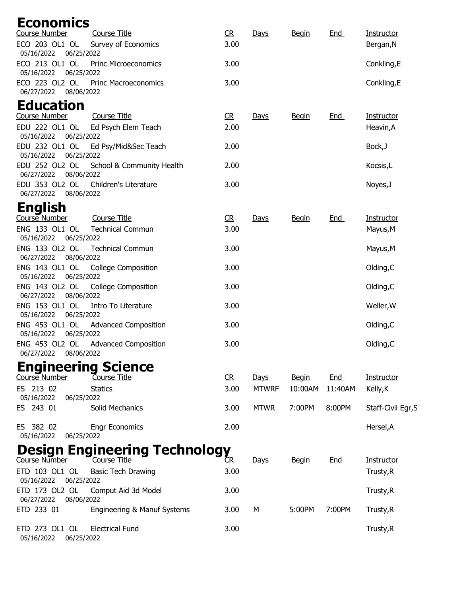| <b>Economics</b>                           |                                      |                |              |              |         |                    |
|--------------------------------------------|--------------------------------------|----------------|--------------|--------------|---------|--------------------|
| <b>Course Number</b>                       | <b>Course Title</b>                  | R              | Days         | <b>Begin</b> | End     | Instructor         |
| ECO 203 OL1 OL<br>05/16/2022<br>06/25/2022 | Survey of Economics                  | 3.00           |              |              |         | Bergan, N          |
| ECO 213 OL1 OL<br>05/16/2022<br>06/25/2022 | <b>Princ Microeconomics</b>          | 3.00           |              |              |         | Conkling,E         |
| ECO 223 OL2 OL<br>06/27/2022 08/06/2022    | <b>Princ Macroeconomics</b>          | 3.00           |              |              |         | Conkling,E         |
| <b>Education</b>                           |                                      |                |              |              |         |                    |
| Course Number                              | <b>Course Title</b>                  | C <sub>R</sub> | Days         | <b>Begin</b> | End     | Instructor         |
| EDU 222 OL1 OL<br>05/16/2022<br>06/25/2022 | Ed Psych Elem Teach                  | 2.00           |              |              |         | Heavin, A          |
| EDU 232 OL1 OL<br>05/16/2022 06/25/2022    | Ed Psy/Mid&Sec Teach                 | 2.00           |              |              |         | Bock, J            |
| EDU 252 OL2 OL<br>06/27/2022<br>08/06/2022 | School & Community Health            | 2.00           |              |              |         | Kocsis,L           |
| EDU 353 OL2 OL<br>06/27/2022<br>08/06/2022 | Children's Literature                | 3.00           |              |              |         | Noyes, J           |
| English                                    |                                      |                |              |              |         |                    |
| Course Number                              | <b>Course Title</b>                  | C <sub>R</sub> | Days         | <b>Begin</b> | End     | Instructor         |
| ENG 133 OL1 OL<br>05/16/2022<br>06/25/2022 | <b>Technical Commun</b>              | 3.00           |              |              |         | Mayus, M           |
| ENG 133 OL2 OL<br>06/27/2022<br>08/06/2022 | <b>Technical Commun</b>              | 3.00           |              |              |         | Mayus, M           |
| ENG 143 OL1 OL<br>06/25/2022<br>05/16/2022 | <b>College Composition</b>           | 3.00           |              |              |         | Olding, C          |
| ENG 143 OL2 OL<br>06/27/2022<br>08/06/2022 | <b>College Composition</b>           | 3.00           |              |              |         | Olding, C          |
| ENG 153 OL1 OL<br>05/16/2022 06/25/2022    | Intro To Literature                  | 3.00           |              |              |         | Weller, W          |
| ENG 453 OL1 OL<br>05/16/2022<br>06/25/2022 | <b>Advanced Composition</b>          | 3.00           |              |              |         | Olding, C          |
| ENG 453 OL2 OL<br>06/27/2022 08/06/2022    | <b>Advanced Composition</b>          | 3.00           |              |              |         | Olding, C          |
|                                            | <b>Engineering Science</b>           |                |              |              |         |                    |
| Course Number                              | Course Title                         | CR             | Days         | <b>Begin</b> | End     | Instructor         |
| ES 213 02                                  | <b>Statics</b>                       | 3.00           | <b>MTWRF</b> | 10:00AM      | 11:40AM | Kelly, K           |
| 05/16/2022<br>06/25/2022<br>ES 243 01      | Solid Mechanics                      | 3.00           | <b>MTWR</b>  | 7:00PM       | 8:00PM  | Staff-Civil Egr, S |
| ES 382 02<br>05/16/2022<br>06/25/2022      | <b>Engr Economics</b>                | 2.00           |              |              |         | Hersel, A          |
|                                            | <b>Design Engineering Technology</b> |                |              |              |         |                    |
| Course Number                              |                                      |                | Days         | <b>Begin</b> | End     | Instructor         |
| ETD 103 OL1 OL<br>05/16/2022<br>06/25/2022 | <b>Basic Tech Drawing</b>            | 3.00           |              |              |         | Trusty, R          |
| ETD 173 OL2 OL<br>06/27/2022 08/06/2022    | Comput Aid 3d Model                  | 3.00           |              |              |         | Trusty, R          |
| ETD 233 01                                 | Engineering & Manuf Systems          | 3.00           | М            | 5:00PM       | 7:00PM  | Trusty, R          |
| ETD 273 OL1 OL<br>05/16/2022 06/25/2022    | <b>Electrical Fund</b>               | 3.00           |              |              |         | Trusty, R          |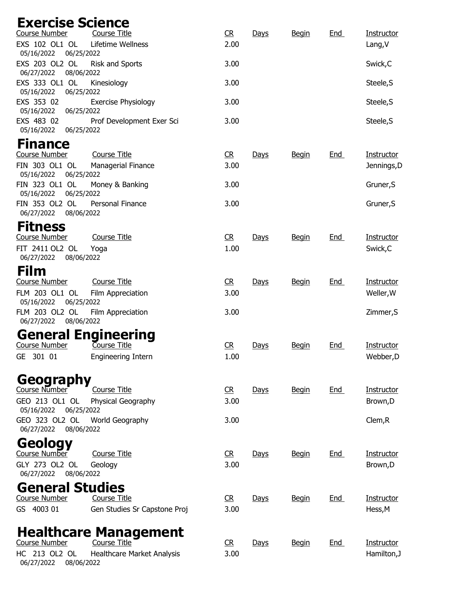## Exercise Science

| <b>Course Number</b>                       | <b>Course Title</b>                              | C <sub>R</sub> | Days        | <b>Begin</b> | <b>End</b> | <b>Instructor</b>             |
|--------------------------------------------|--------------------------------------------------|----------------|-------------|--------------|------------|-------------------------------|
| EXS 102 OL1 OL<br>05/16/2022               | Lifetime Wellness<br>06/25/2022                  | 2.00           |             |              |            | Lang, V                       |
| EXS 203 OL2 OL<br>06/27/2022               | Risk and Sports<br>08/06/2022                    | 3.00           |             |              |            | Swick, C                      |
| EXS 333 OL1 OL<br>05/16/2022               | Kinesiology<br>06/25/2022                        | 3.00           |             |              |            | Steele, S                     |
| EXS 353 02<br>05/16/2022                   | Exercise Physiology<br>06/25/2022                | 3.00           |             |              |            | Steele, S                     |
| EXS 483 02<br>05/16/2022                   | Prof Development Exer Sci<br>06/25/2022          | 3.00           |             |              |            | Steele, S                     |
| <b>Finance</b>                             |                                                  |                |             |              |            |                               |
| Course Number                              | <b>Course Title</b>                              | R              | Days        | <b>Begin</b> | End        | Instructor                    |
| FIN 303 OL1 OL<br>05/16/2022               | Managerial Finance<br>06/25/2022                 | 3.00           |             |              |            | Jennings, D                   |
| FIN 323 OL1 OL<br>05/16/2022               | Money & Banking<br>06/25/2022                    | 3.00           |             |              |            | Gruner, S                     |
| FIN 353 OL2 OL<br>06/27/2022               | Personal Finance<br>08/06/2022                   | 3.00           |             |              |            | Gruner, S                     |
| <b>Fitness</b>                             |                                                  |                |             |              |            |                               |
| Course Number                              | <b>Course Title</b>                              | C <sub>R</sub> | <u>Days</u> | <b>Begin</b> | <u>End</u> | Instructor                    |
| FIT 2411 OL2 OL<br>06/27/2022              | Yoga<br>08/06/2022                               | 1.00           |             |              |            | Swick, C                      |
| Film                                       |                                                  |                |             |              |            |                               |
| <b>Course Number</b>                       | <b>Course Title</b>                              | R              | <u>Days</u> | <b>Begin</b> | <b>End</b> | Instructor                    |
| FLM 203 OL1 OL<br>05/16/2022<br>06/25/2022 | Film Appreciation                                | 3.00           |             |              |            | Weller, W                     |
| FLM 203 OL2 OL<br>06/27/2022               | Film Appreciation<br>08/06/2022                  | 3.00           |             |              |            | Zimmer, S                     |
|                                            | <b>General Engineering</b>                       |                |             |              |            |                               |
| <b>Course Number</b>                       | Course Title                                     | CR             | Days        | <b>Begin</b> | <u>End</u> | Instructor                    |
| GE 301 01                                  | <b>Engineering Intern</b>                        | 1.00           |             |              |            | Webber, D                     |
| Geography<br>Course Number                 |                                                  |                |             |              |            |                               |
| GEO 213 OL1 OL<br>05/16/2022               | Course Title<br>Physical Geography<br>06/25/2022 | CR<br>3.00     | Days        | <b>Begin</b> | End        | <u>Instructor</u><br>Brown, D |
| GEO 323 OL2 OL<br>06/27/2022               | World Geography<br>08/06/2022                    | 3.00           |             |              |            | Clem, R                       |
| Geology                                    |                                                  |                |             |              |            |                               |
| Course Number                              | Course Title                                     | R              | Days        | <b>Begin</b> | End        | Instructor                    |
| GLY 273 OL2 OL<br>06/27/2022               | Geology<br>08/06/2022                            | 3.00           |             |              |            | Brown, D                      |
| <b>General Studies</b>                     |                                                  |                |             |              |            |                               |
| <b>Course Number</b>                       | <b>Course Title</b>                              | CR             | Days        | <b>Begin</b> | End        | Instructor                    |
| GS 4003 01                                 | Gen Studies Sr Capstone Proj                     | 3.00           |             |              |            | Hess, M                       |
|                                            | <b>Healthcare Management</b>                     |                |             |              |            |                               |
| Course Number<br>213 OL2 OL<br>HC          | Course Title<br>Healthcare Market Analysis       | CR<br>3.00     | Days        | <b>Begin</b> | <u>End</u> | Instructor<br>Hamilton, J     |
|                                            |                                                  |                |             |              |            |                               |

06/27/2022 08/06/2022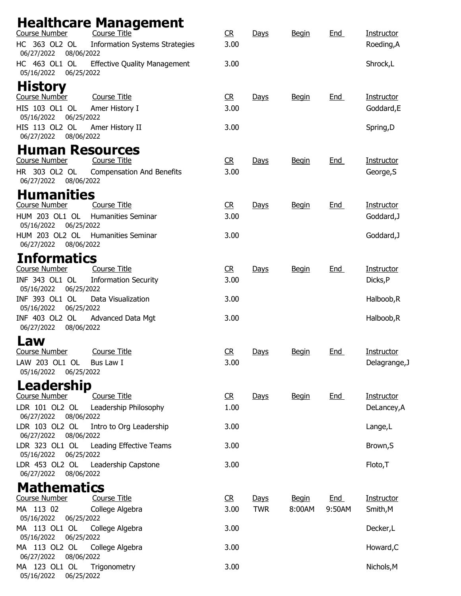| Course Number                              | <b>Healthcare Management</b><br><b>Course Title</b> | R              | Days       | <b>Begin</b> | <b>End</b> | Instructor    |
|--------------------------------------------|-----------------------------------------------------|----------------|------------|--------------|------------|---------------|
| HC 363 OL2 OL<br>06/27/2022<br>08/06/2022  | <b>Information Systems Strategies</b>               | 3.00           |            |              |            | Roeding, A    |
| HC 463 OL1 OL<br>05/16/2022<br>06/25/2022  | <b>Effective Quality Management</b>                 | 3.00           |            |              |            | Shrock,L      |
| <b>History</b>                             |                                                     |                |            |              |            |               |
| Course Number                              | <b>Course Title</b>                                 | CR             | Days       | <b>Begin</b> | <b>End</b> | Instructor    |
| HIS 103 OL1 OL<br>05/16/2022<br>06/25/2022 | Amer History I                                      | 3.00           |            |              |            | Goddard, E    |
| HIS 113 OL2 OL<br>06/27/2022<br>08/06/2022 | Amer History II                                     | 3.00           |            |              |            | Spring,D      |
| <b>Human Resources</b>                     |                                                     |                |            |              |            |               |
| <b>Course Number</b>                       | <b>Course Title</b>                                 | R              | Days       | <b>Begin</b> | <b>End</b> | Instructor    |
| HR 303 OL2 OL<br>06/27/2022<br>08/06/2022  | <b>Compensation And Benefits</b>                    | 3.00           |            |              |            | George, S     |
| <b>Humanities</b>                          |                                                     |                |            |              |            |               |
| Course Number                              | <b>Course Title</b>                                 | CR             | Days       | <b>Begin</b> | <b>End</b> | Instructor    |
| HUM 203 OL1 OL<br>05/16/2022<br>06/25/2022 | <b>Humanities Seminar</b>                           | 3.00           |            |              |            | Goddard, J    |
| HUM 203 OL2 OL<br>06/27/2022<br>08/06/2022 | <b>Humanities Seminar</b>                           | 3.00           |            |              |            | Goddard, J    |
| <b>Informatics</b>                         |                                                     |                |            |              |            |               |
| <b>Course Number</b>                       | <b>Course Title</b>                                 | CR             | Days       | <b>Begin</b> | <b>End</b> | Instructor    |
| INF 343 OL1 OL<br>05/16/2022<br>06/25/2022 | <b>Information Security</b>                         | 3.00           |            |              |            | Dicks, P      |
| INF 393 OL1 OL<br>05/16/2022<br>06/25/2022 | Data Visualization                                  | 3.00           |            |              |            | Halboob, R    |
| INF 403 OL2 OL<br>06/27/2022<br>08/06/2022 | Advanced Data Mgt                                   | 3.00           |            |              |            | Halboob, R    |
| Law                                        |                                                     |                |            |              |            |               |
| <b>Course Number</b>                       | <b>Course Title</b>                                 | CR             | Days       | <b>Begin</b> | <u>End</u> | Instructor    |
| LAW 203 OL1 OL<br>05/16/2022<br>06/25/2022 | Bus Law I                                           | 3.00           |            |              |            | Delagrange, J |
| Leadership                                 |                                                     |                |            |              |            |               |
| <b>Course Number</b>                       | <b>Course Title</b>                                 | C <sub>R</sub> | Days       | <b>Begin</b> | <u>End</u> | Instructor    |
| LDR 101 OL2 OL<br>06/27/2022 08/06/2022    | Leadership Philosophy                               | 1.00           |            |              |            | DeLancey, A   |
| LDR 103 OL2 OL<br>08/06/2022<br>06/27/2022 | Intro to Org Leadership                             | 3.00           |            |              |            | Lange, L      |
| LDR 323 OL1 OL<br>05/16/2022 06/25/2022    | Leading Effective Teams                             | 3.00           |            |              |            | Brown, S      |
| LDR 453 OL2 OL<br>06/27/2022<br>08/06/2022 | Leadership Capstone                                 | 3.00           |            |              |            | Floto, T      |
| <b>Mathematics</b>                         |                                                     |                |            |              |            |               |
| <b>Course Number</b>                       | <b>Course Title</b>                                 | CR             | Days       | <b>Begin</b> | End        | Instructor    |
| MA 113 02                                  | College Algebra                                     | 3.00           | <b>TWR</b> | 8:00AM       | 9:50AM     | Smith, M      |
| 05/16/2022<br>06/25/2022                   |                                                     |                |            |              |            |               |
| MA 113 OL1 OL<br>06/25/2022<br>05/16/2022  | College Algebra                                     | 3.00           |            |              |            | Decker,L      |
| MA 113 OL2 OL<br>06/27/2022<br>08/06/2022  | College Algebra                                     | 3.00           |            |              |            | Howard, C     |
| MA 123 OL1 OL<br>05/16/2022<br>06/25/2022  | Trigonometry                                        | 3.00           |            |              |            | Nichols, M    |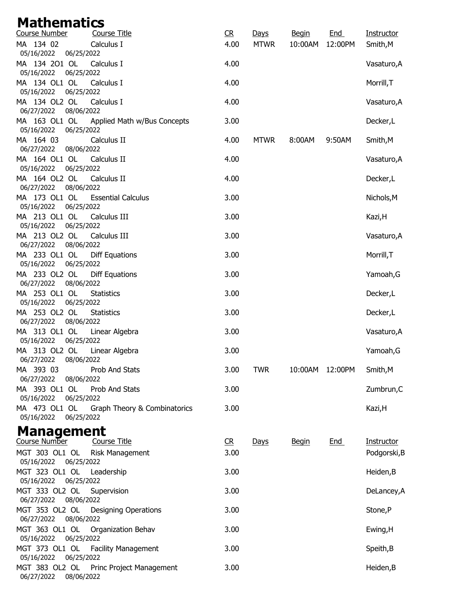## **Mathematics**

| Course Number                              | <b>Course Title</b>          | C <sub>R</sub> | Days        | <b>Begin</b> | <b>End</b> | <b>Instructor</b> |
|--------------------------------------------|------------------------------|----------------|-------------|--------------|------------|-------------------|
| MA 134 02<br>05/16/2022<br>06/25/2022      | Calculus I                   | 4.00           | <b>MTWR</b> | 10:00AM      | 12:00PM    | Smith, M          |
| MA 134 201 OL<br>06/25/2022<br>05/16/2022  | Calculus I                   | 4.00           |             |              |            | Vasaturo, A       |
| MA 134 OL1 OL<br>05/16/2022<br>06/25/2022  | Calculus I                   | 4.00           |             |              |            | Morrill, T        |
| MA 134 OL2 OL<br>06/27/2022<br>08/06/2022  | Calculus I                   | 4.00           |             |              |            | Vasaturo, A       |
| MA 163 OL1 OL<br>06/25/2022<br>05/16/2022  | Applied Math w/Bus Concepts  | 3.00           |             |              |            | Decker,L          |
| MA 164 03<br>06/27/2022<br>08/06/2022      | Calculus II                  | 4.00           | <b>MTWR</b> | 8:00AM       | 9:50AM     | Smith, M          |
| MA 164 OL1 OL<br>05/16/2022<br>06/25/2022  | Calculus II                  | 4.00           |             |              |            | Vasaturo, A       |
| MA 164 OL2 OL<br>06/27/2022<br>08/06/2022  | Calculus II                  | 4.00           |             |              |            | Decker,L          |
| MA 173 OL1 OL<br>05/16/2022<br>06/25/2022  | <b>Essential Calculus</b>    | 3.00           |             |              |            | Nichols, M        |
| MA 213 OL1 OL<br>05/16/2022<br>06/25/2022  | Calculus III                 | 3.00           |             |              |            | Kazi, H           |
| MA 213 OL2 OL<br>06/27/2022<br>08/06/2022  | Calculus III                 | 3.00           |             |              |            | Vasaturo, A       |
| MA 233 OL1 OL<br>05/16/2022<br>06/25/2022  | Diff Equations               | 3.00           |             |              |            | Morrill, T        |
| MA 233 OL2 OL<br>06/27/2022<br>08/06/2022  | Diff Equations               | 3.00           |             |              |            | Yamoah, G         |
| MA 253 OL1 OL<br>05/16/2022<br>06/25/2022  | <b>Statistics</b>            | 3.00           |             |              |            | Decker,L          |
| MA 253 OL2 OL<br>06/27/2022<br>08/06/2022  | <b>Statistics</b>            | 3.00           |             |              |            | Decker,L          |
| MA 313 OL1 OL<br>05/16/2022<br>06/25/2022  | Linear Algebra               | 3.00           |             |              |            | Vasaturo, A       |
| MA 313 OL2 OL<br>08/06/2022<br>06/27/2022  | Linear Algebra               | 3.00           |             |              |            | Yamoah, G         |
| MA 393 03<br>06/27/2022<br>08/06/2022      | Prob And Stats               | 3.00           | <b>TWR</b>  | 10:00AM      | 12:00PM    | Smith, M          |
| MA 393 OL1 OL<br>05/16/2022<br>06/25/2022  | Prob And Stats               | 3.00           |             |              |            | Zumbrun, C        |
| MA 473 OL1 OL<br>05/16/2022<br>06/25/2022  | Graph Theory & Combinatorics | 3.00           |             |              |            | Kazi, H           |
| <b>Management</b>                          |                              |                |             |              |            |                   |
| Course Number                              | <b>Course Title</b>          | R              | <b>Days</b> | <b>Begin</b> | End        | Instructor        |
| MGT 303 OL1 OL<br>05/16/2022 06/25/2022    | Risk Management              | 3.00           |             |              |            | Podgorski, B      |
| MGT 323 OL1 OL<br>05/16/2022<br>06/25/2022 | Leadership                   | 3.00           |             |              |            | Heiden, B         |
| MGT 333 OL2 OL<br>08/06/2022<br>06/27/2022 | Supervision                  | 3.00           |             |              |            | DeLancey, A       |
| MGT 353 OL2 OL<br>06/27/2022<br>08/06/2022 | <b>Designing Operations</b>  | 3.00           |             |              |            | Stone,P           |
| MGT 363 OL1 OL<br>06/25/2022<br>05/16/2022 | Organization Behav           | 3.00           |             |              |            | Ewing, H          |
| MGT 373 OL1 OL<br>05/16/2022<br>06/25/2022 | <b>Facility Management</b>   | 3.00           |             |              |            | Speith, B         |
| MGT 383 OL2 OL<br>06/27/2022<br>08/06/2022 | Princ Project Management     | 3.00           |             |              |            | Heiden, B         |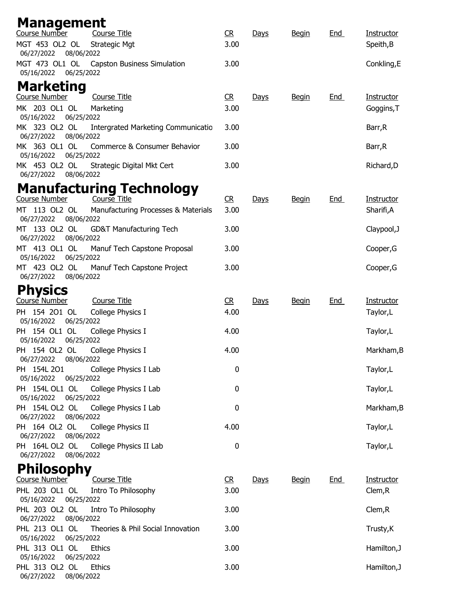| <b>Management</b><br>Course Number                                                  |                        |      |              |            |                         |
|-------------------------------------------------------------------------------------|------------------------|------|--------------|------------|-------------------------|
| <b>Course Title</b><br>MGT 453 OL2 OL<br><b>Strategic Mgt</b>                       | C <sub>R</sub><br>3.00 | Days | <b>Begin</b> | <u>End</u> | Instructor<br>Speith, B |
| 06/27/2022<br>08/06/2022<br>MGT 473 OL1 OL<br><b>Capston Business Simulation</b>    | 3.00                   |      |              |            | Conkling, E             |
| 06/25/2022<br>05/16/2022                                                            |                        |      |              |            |                         |
| <b>Marketing</b>                                                                    |                        |      |              |            |                         |
| Course Number<br><b>Course Title</b>                                                | CR                     | Days | <u>Begin</u> | <u>End</u> | Instructor              |
| MK 203 OL1 OL<br>Marketing<br>06/25/2022<br>05/16/2022                              | 3.00                   |      |              |            | Goggins, T              |
| MK 323 OL2 OL<br>Intergrated Marketing Communicatio<br>06/27/2022<br>08/06/2022     | 3.00                   |      |              |            | Barr, R                 |
| MK 363 OL1 OL<br>Commerce & Consumer Behavior<br>05/16/2022<br>06/25/2022           | 3.00                   |      |              |            | Barr, R                 |
| MK 453 OL2 OL<br>Strategic Digital Mkt Cert<br>06/27/2022<br>08/06/2022             | 3.00                   |      |              |            | Richard, D              |
|                                                                                     |                        |      |              |            |                         |
| <b>Manufacturing Technology</b><br><b>Course Number</b><br>Course Title             | CR                     | Days | <b>Begin</b> | <b>End</b> | <b>Instructor</b>       |
| MT 113 OL2 OL<br>Manufacturing Processes & Materials<br>06/27/2022<br>08/06/2022    | 3.00                   |      |              |            | Sharifi,A               |
| 133 OL2 OL<br><b>GD&amp;T Manufacturing Tech</b><br>MT.<br>08/06/2022<br>06/27/2022 | 3.00                   |      |              |            | Claypool, J             |
| MT 413 OL1 OL<br>Manuf Tech Capstone Proposal                                       | 3.00                   |      |              |            | Cooper, G               |
| 05/16/2022<br>06/25/2022<br>MT 423 OL2 OL<br>Manuf Tech Capstone Project            | 3.00                   |      |              |            | Cooper, G               |
| 06/27/2022<br>08/06/2022                                                            |                        |      |              |            |                         |
| <b>Physics</b>                                                                      |                        |      |              |            |                         |
| Course Number<br><b>Course Title</b><br>PH 154 201 OL<br>College Physics I          | C <sub>R</sub><br>4.00 | Days | <b>Begin</b> | <u>End</u> | Instructor<br>Taylor,L  |
| 05/16/2022<br>06/25/2022                                                            |                        |      |              |            |                         |
| PH 154 OL1 OL<br>College Physics I<br>05/16/2022<br>06/25/2022                      | 4.00                   |      |              |            | Taylor,L                |
| PH 154 OL2 OL<br>College Physics I<br>06/27/2022<br>08/06/2022                      | 4.00                   |      |              |            | Markham, B              |
| PH 154L 201<br>College Physics I Lab<br>05/16/2022<br>06/25/2022                    | 0                      |      |              |            | Taylor,L                |
| PH 154L OL1 OL<br>College Physics I Lab<br>05/16/2022<br>06/25/2022                 | 0                      |      |              |            | Taylor,L                |
| PH 154L OL2 OL<br>College Physics I Lab<br>08/06/2022<br>06/27/2022                 | 0                      |      |              |            | Markham, B              |
| PH 164 OL2 OL<br>College Physics II                                                 | 4.00                   |      |              |            | Taylor,L                |
| 06/27/2022<br>08/06/2022<br>PH 164L OL2 OL<br>College Physics II Lab                | $\pmb{0}$              |      |              |            | Taylor,L                |
| 06/27/2022<br>08/06/2022                                                            |                        |      |              |            |                         |
| <b>Philosophy</b>                                                                   |                        |      |              |            |                         |
| Course Number<br><b>Course Title</b>                                                | R                      | Days | <b>Begin</b> | <u>End</u> | <b>Instructor</b>       |
| PHL 203 OL1 OL<br>Intro To Philosophy<br>05/16/2022<br>06/25/2022                   | 3.00                   |      |              |            | Clem, R                 |
| PHL 203 OL2 OL<br>Intro To Philosophy<br>08/06/2022<br>06/27/2022                   | 3.00                   |      |              |            | Clem, R                 |
| PHL 213 OL1 OL<br>Theories & Phil Social Innovation<br>05/16/2022<br>06/25/2022     | 3.00                   |      |              |            | Trusty, K               |
| PHL 313 OL1 OL<br><b>Ethics</b>                                                     | 3.00                   |      |              |            | Hamilton, J             |
| 05/16/2022<br>06/25/2022<br>PHL 313 OL2 OL<br><b>Ethics</b>                         | 3.00                   |      |              |            | Hamilton, J             |
| 06/27/2022<br>08/06/2022                                                            |                        |      |              |            |                         |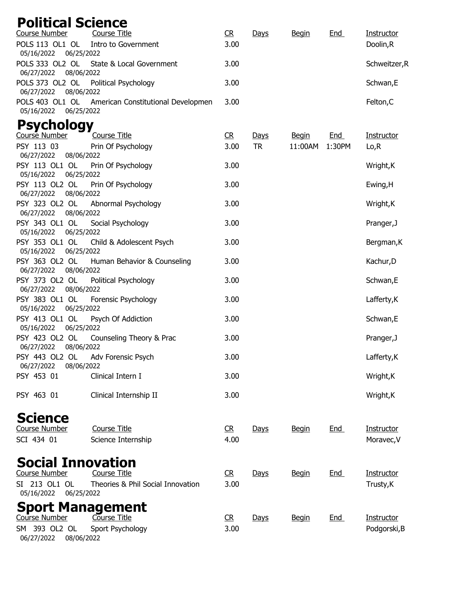| <b>Political Science</b>                                                                     |                          |
|----------------------------------------------------------------------------------------------|--------------------------|
| <b>Course Number</b><br><b>Course Title</b><br>R<br>Days<br><b>Begin</b>                     | <b>End</b><br>Instructor |
| POLS 113 OL1 OL<br>Intro to Government<br>3.00<br>05/16/2022<br>06/25/2022                   | Doolin,R                 |
| POLS 333 OL2 OL<br>State & Local Government<br>3.00<br>06/27/2022 08/06/2022                 | Schweitzer, R            |
| POLS 373 OL2 OL<br>3.00<br>Political Psychology<br>08/06/2022<br>06/27/2022                  | Schwan,E                 |
| POLS 403 OL1 OL<br>American Constitutional Developmen<br>3.00<br>05/16/2022<br>06/25/2022    | Felton, C                |
| <b>Psychology</b>                                                                            |                          |
| Course Number<br>R<br><b>Course Title</b><br>Days<br><b>Begin</b>                            | End<br>Instructor        |
| PSY 113 03<br>3.00<br><b>TR</b><br>Prin Of Psychology<br>11:00AM                             | 1:30PM<br>Lo, R          |
| 06/27/2022<br>08/06/2022                                                                     |                          |
| PSY 113 OL1 OL<br>Prin Of Psychology<br>3.00<br>06/25/2022<br>05/16/2022                     | Wright, K                |
| PSY 113 OL2 OL<br>Prin Of Psychology<br>3.00<br>08/06/2022<br>06/27/2022                     | Ewing, H                 |
| PSY 323 OL2 OL<br>Abnormal Psychology<br>3.00<br>06/27/2022 08/06/2022                       | Wright, K                |
| PSY 343 OL1 OL<br>Social Psychology<br>3.00<br>05/16/2022<br>06/25/2022                      | Pranger, J               |
| PSY 353 OL1 OL<br>Child & Adolescent Psych<br>3.00<br>05/16/2022<br>06/25/2022               | Bergman, K               |
| PSY 363 OL2 OL<br>Human Behavior & Counseling<br>3.00<br>06/27/2022<br>08/06/2022            | Kachur, D                |
| PSY 373 OL2 OL<br>3.00<br>Political Psychology<br>08/06/2022<br>06/27/2022                   | Schwan,E                 |
| PSY 383 OL1 OL<br>Forensic Psychology<br>3.00<br>06/25/2022<br>05/16/2022                    | Lafferty, K              |
| PSY 413 OL1 OL<br>3.00<br>Psych Of Addiction<br>05/16/2022<br>06/25/2022                     | Schwan, E                |
| PSY 423 OL2 OL<br>Counseling Theory & Prac<br>3.00<br>08/06/2022<br>06/27/2022               | Pranger, J               |
| PSY 443 OL2 OL<br>Adv Forensic Psych<br>3.00<br>06/27/2022<br>08/06/2022                     | Lafferty, K              |
| PSY 453 01<br>Clinical Intern I<br>3.00                                                      | Wright, K                |
| PSY 463 01<br>Clinical Internship II<br>3.00                                                 | Wright, K                |
| <b>Science</b>                                                                               |                          |
| <b>Course Number</b><br><b>Course Title</b><br>C <sub>R</sub><br><b>Begin</b><br><b>Days</b> | Instructor<br><u>End</u> |
| SCI 434 01<br>4.00<br>Science Internship                                                     | Moravec, V               |
| <b>Social Innovation</b>                                                                     |                          |
| Course Number<br>Course Title<br>$C$ R<br>Days<br><b>Begin</b>                               | Instructor<br><u>End</u> |
| SI 213 OL1 OL<br>Theories & Phil Social Innovation<br>3.00<br>06/25/2022<br>05/16/2022       | Trusty, K                |
| <b>Sport Management</b>                                                                      |                          |
| Course Number<br>Course Title<br>R<br>Days<br><b>Begin</b>                                   | End<br><b>Instructor</b> |
| SM 393 OL2 OL<br>Sport Psychology<br>3.00<br>06/27/2022<br>08/06/2022                        | Podgorski, B             |